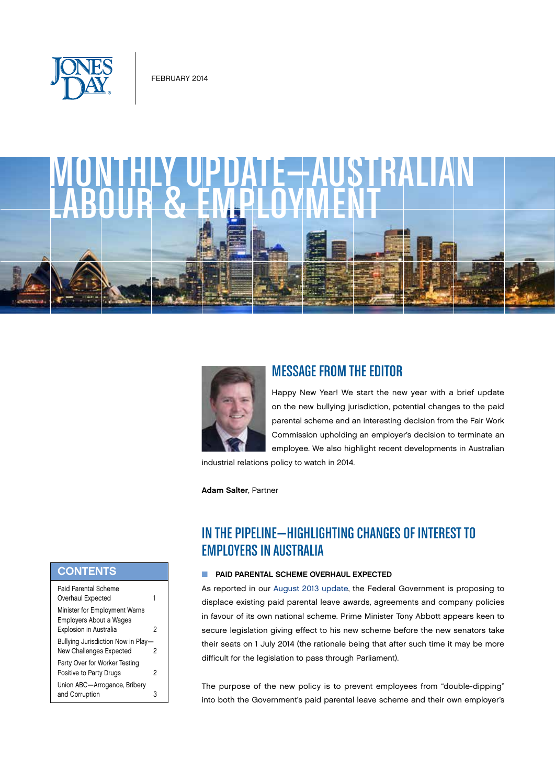

# MONTHLY UPDATE—AUSTRALIAN



## MESSAGE FROM THE EDITOR

Happy New Year! We start the new year with a brief update on the new bullying jurisdiction, potential changes to the paid parental scheme and an interesting decision from the Fair Work Commission upholding an employer's decision to terminate an employee. We also highlight recent developments in Australian

industrial relations policy to watch in 2014.

Adam Salter, Partner

# IN THE PIPELINE—HIGHLIGHTING CHANGES OF INTEREST TO EMPLOYERS IN AUSTRALIA

### **N** PAID PARENTAL SCHEME OVERHAUL EXPECTED

As reported in our August 2013 update, the Federal Government is proposing to displace existing paid parental leave awards, agreements and company policies in favour of its own national scheme. Prime Minister Tony Abbott appears keen to secure legislation giving effect to his new scheme before the new senators take their seats on 1 July 2014 (the rationale being that after such time it may be more difficult for the legislation to pass through Parliament).

The purpose of the new policy is to prevent employees from "double-dipping" into both the Government's paid parental leave scheme and their own employer's

## **CONTENTS**

| Paid Parental Scheme<br>Overhaul Expected                                                 | 1 |
|-------------------------------------------------------------------------------------------|---|
| Minister for Employment Warns<br><b>Employers About a Wages</b><br>Explosion in Australia | 2 |
| Bullying Jurisdiction Now in Play-<br>New Challenges Expected                             | 2 |
| Party Over for Worker Testing<br>Positive to Party Drugs                                  | 2 |
| Union ABC-Arrogance, Bribery<br>and Corruption                                            |   |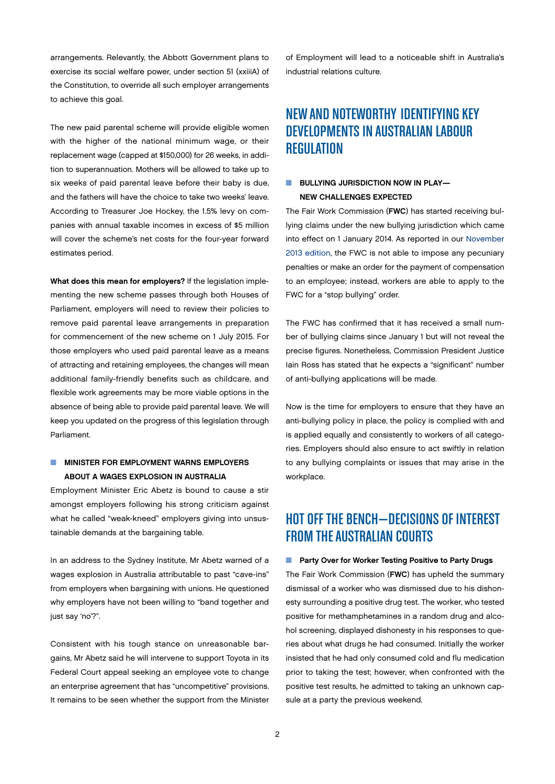<span id="page-1-0"></span>arrangements. Relevantly, the Abbott Government plans to exercise its social welfare power, under section 51 (xxiiiA) of the Constitution, to override all such employer arrangements to achieve this goal.

The new paid parental scheme will provide eligible women with the higher of the national minimum wage, or their replacement wage (capped at \$150,000) for 26 weeks, in addition to superannuation. Mothers will be allowed to take up to six weeks of paid parental leave before their baby is due, and the fathers will have the choice to take two weeks' leave. According to Treasurer Joe Hockey, the 1.5% levy on companies with annual taxable incomes in excess of \$5 million will cover the scheme's net costs for the four-year forward estimates period.

What does this mean for employers? If the legislation implementing the new scheme passes through both Houses of Parliament, employers will need to review their policies to remove paid parental leave arrangements in preparation for commencement of the new scheme on 1 July 2015. For those employers who used paid parental leave as a means of attracting and retaining employees, the changes will mean additional family-friendly benefits such as childcare, and flexible work agreements may be more viable options in the absence of being able to provide paid parental leave. We will keep you updated on the progress of this legislation through Parliament.

## **NUMISTER FOR EMPLOYMENT WARNS EMPLOYERS** ABOUT A WAGES EXPLOSION IN AUSTRALIA

Employment Minister Eric Abetz is bound to cause a stir amongst employers following his strong criticism against what he called "weak-kneed" employers giving into unsustainable demands at the bargaining table.

In an address to the Sydney Institute, Mr Abetz warned of a wages explosion in Australia attributable to past "cave-ins" from employers when bargaining with unions. He questioned why employers have not been willing to "band together and just say 'no'?".

Consistent with his tough stance on unreasonable bargains, Mr Abetz said he will intervene to support Toyota in its Federal Court appeal seeking an employee vote to change an enterprise agreement that has "uncompetitive" provisions. It remains to be seen whether the support from the Minister of Employment will lead to a noticeable shift in Australia's industrial relations culture.

## NEW AND NOTEWORTHY IDENTIFYING KEY DEVELOPMENTS IN AUSTRALIAN LABOUR **REGULATION**

## **NO BULLYING JURISDICTION NOW IN PLAY—** NEW CHALLENGES EXPECTED

The Fair Work Commission (FWC) has started receiving bullying claims under the new bullying jurisdiction which came into effect on 1 January 2014. As reported in our November 2013 edition, the FWC is not able to impose any pecuniary penalties or make an order for the payment of compensation to an employee; instead, workers are able to apply to the FWC for a "stop bullying" order.

The FWC has confirmed that it has received a small number of bullying claims since January 1 but will not reveal the precise figures. Nonetheless, Commission President Justice Iain Ross has stated that he expects a "significant" number of anti-bullying applications will be made.

Now is the time for employers to ensure that they have an anti-bullying policy in place, the policy is complied with and is applied equally and consistently to workers of all categories. Employers should also ensure to act swiftly in relation to any bullying complaints or issues that may arise in the workplace.

# HOT OFF THE BENCH—DECISIONS OF INTEREST FROM THE AUSTRALIAN COURTS

#### **n** Party Over for Worker Testing Positive to Party Drugs

The Fair Work Commission (FWC) has upheld the summary dismissal of a worker who was dismissed due to his dishonesty surrounding a positive drug test. The worker, who tested positive for methamphetamines in a random drug and alcohol screening, displayed dishonesty in his responses to queries about what drugs he had consumed. Initially the worker insisted that he had only consumed cold and flu medication prior to taking the test; however, when confronted with the positive test results, he admitted to taking an unknown capsule at a party the previous weekend.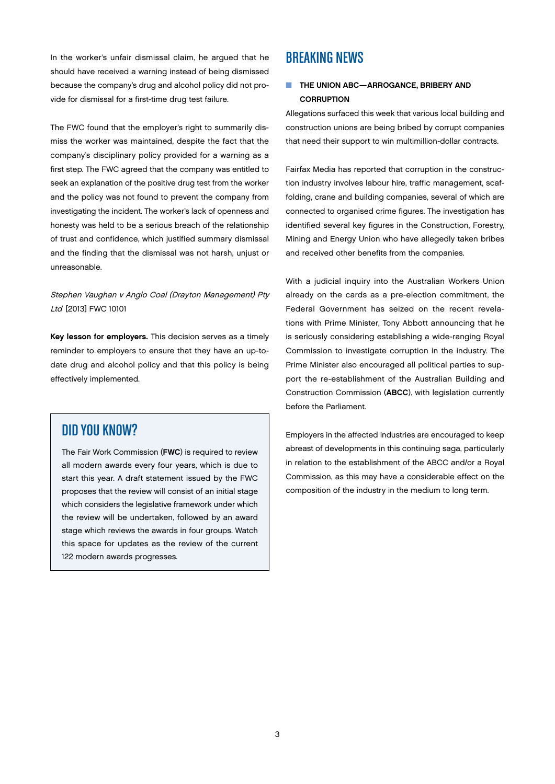<span id="page-2-0"></span>In the worker's unfair dismissal claim, he argued that he should have received a warning instead of being dismissed because the company's drug and alcohol policy did not provide for dismissal for a first-time drug test failure.

The FWC found that the employer's right to summarily dismiss the worker was maintained, despite the fact that the company's disciplinary policy provided for a warning as a first step. The FWC agreed that the company was entitled to seek an explanation of the positive drug test from the worker and the policy was not found to prevent the company from investigating the incident. The worker's lack of openness and honesty was held to be a serious breach of the relationship of trust and confidence, which justified summary dismissal and the finding that the dismissal was not harsh, unjust or unreasonable.

Stephen Vaughan v Anglo Coal (Drayton Management) Pty Ltd [2013] FWC 10101

Key lesson for employers. This decision serves as a timely reminder to employers to ensure that they have an up-todate drug and alcohol policy and that this policy is being effectively implemented.

## DID YOU KNOW?

The Fair Work Commission (FWC) is required to review all modern awards every four years, which is due to start this year. A draft statement issued by the FWC proposes that the review will consist of an initial stage which considers the legislative framework under which the review will be undertaken, followed by an award stage which reviews the awards in four groups. Watch this space for updates as the review of the current 122 modern awards progresses.

## BREAKING NEWS

## **NO THE UNION ABC—ARROGANCE, BRIBERY AND CORRUPTION**

Allegations surfaced this week that various local building and construction unions are being bribed by corrupt companies that need their support to win multimillion-dollar contracts.

Fairfax Media has reported that corruption in the construction industry involves labour hire, traffic management, scaffolding, crane and building companies, several of which are connected to organised crime figures. The investigation has identified several key figures in the Construction, Forestry, Mining and Energy Union who have allegedly taken bribes and received other benefits from the companies.

With a judicial inquiry into the Australian Workers Union already on the cards as a pre-election commitment, the Federal Government has seized on the recent revelations with Prime Minister, Tony Abbott announcing that he is seriously considering establishing a wide-ranging Royal Commission to investigate corruption in the industry. The Prime Minister also encouraged all political parties to support the re-establishment of the Australian Building and Construction Commission (ABCC), with legislation currently before the Parliament.

Employers in the affected industries are encouraged to keep abreast of developments in this continuing saga, particularly in relation to the establishment of the ABCC and/or a Royal Commission, as this may have a considerable effect on the composition of the industry in the medium to long term.